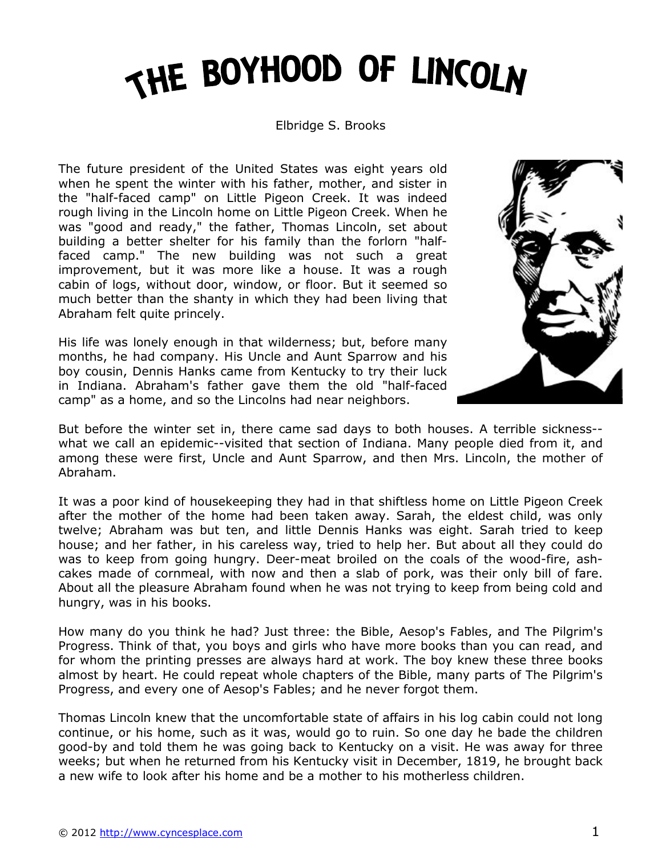# THE BOYHOOD OF LINCOLN

#### Elbridge S. Brooks

The future president of the United States was eight years old when he spent the winter with his father, mother, and sister in the "half-faced camp" on Little Pigeon Creek. It was indeed rough living in the Lincoln home on Little Pigeon Creek. When he was "good and ready," the father, Thomas Lincoln, set about building a better shelter for his family than the forlorn "halffaced camp." The new building was not such a great improvement, but it was more like a house. It was a rough cabin of logs, without door, window, or floor. But it seemed so much better than the shanty in which they had been living that Abraham felt quite princely.

His life was lonely enough in that wilderness; but, before many months, he had company. His Uncle and Aunt Sparrow and his boy cousin, Dennis Hanks came from Kentucky to try their luck in Indiana. Abraham's father gave them the old "half-faced camp" as a home, and so the Lincolns had near neighbors.



But before the winter set in, there came sad days to both houses. A terrible sickness- what we call an epidemic--visited that section of Indiana. Many people died from it, and among these were first, Uncle and Aunt Sparrow, and then Mrs. Lincoln, the mother of Abraham.

It was a poor kind of housekeeping they had in that shiftless home on Little Pigeon Creek after the mother of the home had been taken away. Sarah, the eldest child, was only twelve; Abraham was but ten, and little Dennis Hanks was eight. Sarah tried to keep house; and her father, in his careless way, tried to help her. But about all they could do was to keep from going hungry. Deer-meat broiled on the coals of the wood-fire, ashcakes made of cornmeal, with now and then a slab of pork, was their only bill of fare. About all the pleasure Abraham found when he was not trying to keep from being cold and hungry, was in his books.

How many do you think he had? Just three: the Bible, Aesop's Fables, and The Pilgrim's Progress. Think of that, you boys and girls who have more books than you can read, and for whom the printing presses are always hard at work. The boy knew these three books almost by heart. He could repeat whole chapters of the Bible, many parts of The Pilgrim's Progress, and every one of Aesop's Fables; and he never forgot them.

Thomas Lincoln knew that the uncomfortable state of affairs in his log cabin could not long continue, or his home, such as it was, would go to ruin. So one day he bade the children good-by and told them he was going back to Kentucky on a visit. He was away for three weeks; but when he returned from his Kentucky visit in December, 1819, he brought back a new wife to look after his home and be a mother to his motherless children.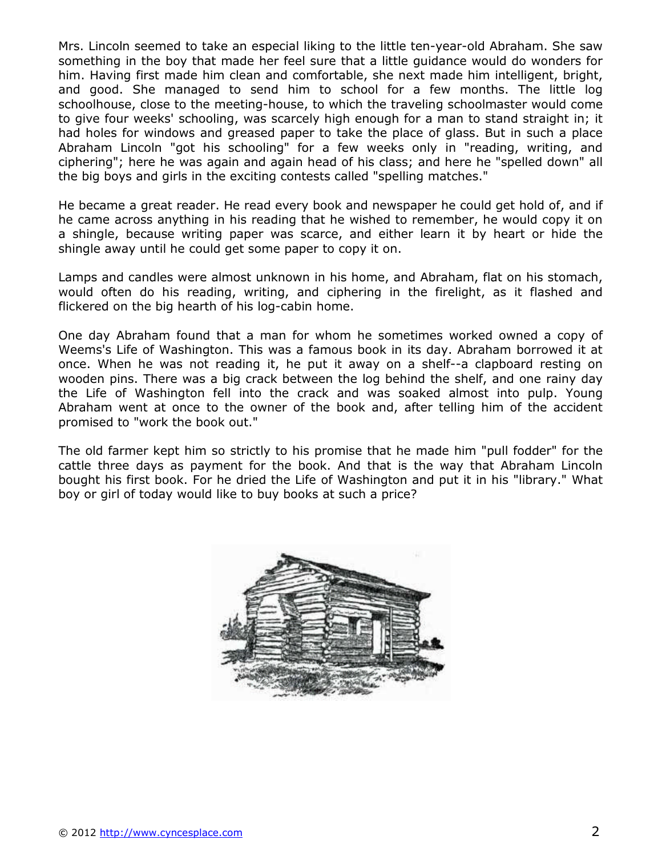Mrs. Lincoln seemed to take an especial liking to the little ten-year-old Abraham. She saw something in the boy that made her feel sure that a little guidance would do wonders for him. Having first made him clean and comfortable, she next made him intelligent, bright, and good. She managed to send him to school for a few months. The little log schoolhouse, close to the meeting-house, to which the traveling schoolmaster would come to give four weeks' schooling, was scarcely high enough for a man to stand straight in; it had holes for windows and greased paper to take the place of glass. But in such a place Abraham Lincoln "got his schooling" for a few weeks only in "reading, writing, and ciphering"; here he was again and again head of his class; and here he "spelled down" all the big boys and girls in the exciting contests called "spelling matches."

He became a great reader. He read every book and newspaper he could get hold of, and if he came across anything in his reading that he wished to remember, he would copy it on a shingle, because writing paper was scarce, and either learn it by heart or hide the shingle away until he could get some paper to copy it on.

Lamps and candles were almost unknown in his home, and Abraham, flat on his stomach, would often do his reading, writing, and ciphering in the firelight, as it flashed and flickered on the big hearth of his log-cabin home.

One day Abraham found that a man for whom he sometimes worked owned a copy of Weems's Life of Washington. This was a famous book in its day. Abraham borrowed it at once. When he was not reading it, he put it away on a shelf--a clapboard resting on wooden pins. There was a big crack between the log behind the shelf, and one rainy day the Life of Washington fell into the crack and was soaked almost into pulp. Young Abraham went at once to the owner of the book and, after telling him of the accident promised to "work the book out."

The old farmer kept him so strictly to his promise that he made him "pull fodder" for the cattle three days as payment for the book. And that is the way that Abraham Lincoln bought his first book. For he dried the Life of Washington and put it in his "library." What boy or girl of today would like to buy books at such a price?

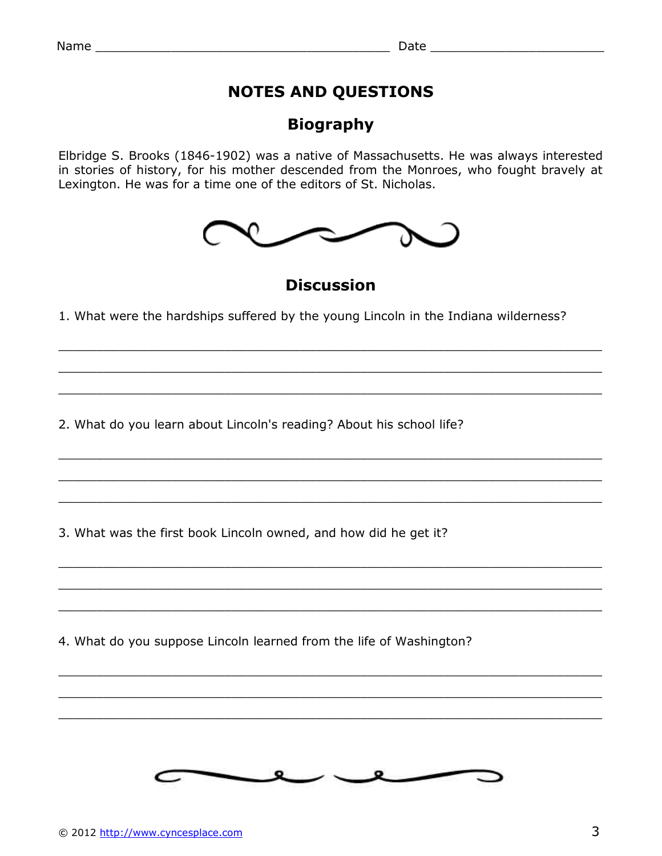### **NOTES AND QUESTIONS**

### **Biography**

Elbridge S. Brooks (1846-1902) was a native of Massachusetts. He was always interested in stories of history, for his mother descended from the Monroes, who fought bravely at Lexington. He was for a time one of the editors of St. Nicholas.



**Discussion**

\_\_\_\_\_\_\_\_\_\_\_\_\_\_\_\_\_\_\_\_\_\_\_\_\_\_\_\_\_\_\_\_\_\_\_\_\_\_\_\_\_\_\_\_\_\_\_\_\_\_\_\_\_\_\_\_\_\_\_\_\_\_\_\_\_\_\_\_\_\_\_\_

 $\_$  ,  $\_$  ,  $\_$  ,  $\_$  ,  $\_$  ,  $\_$  ,  $\_$  ,  $\_$  ,  $\_$  ,  $\_$  ,  $\_$  ,  $\_$  ,  $\_$  ,  $\_$  ,  $\_$  ,  $\_$  ,  $\_$  ,  $\_$  ,  $\_$  ,  $\_$  ,  $\_$  ,  $\_$  ,  $\_$  ,  $\_$  ,  $\_$  ,  $\_$  ,  $\_$  ,  $\_$  ,  $\_$  ,  $\_$  ,  $\_$  ,  $\_$  ,  $\_$  ,  $\_$  ,  $\_$  ,  $\_$  ,  $\_$  ,

\_\_\_\_\_\_\_\_\_\_\_\_\_\_\_\_\_\_\_\_\_\_\_\_\_\_\_\_\_\_\_\_\_\_\_\_\_\_\_\_\_\_\_\_\_\_\_\_\_\_\_\_\_\_\_\_\_\_\_\_\_\_\_\_\_\_\_\_\_\_\_\_

 $\_$  ,  $\_$  ,  $\_$  ,  $\_$  ,  $\_$  ,  $\_$  ,  $\_$  ,  $\_$  ,  $\_$  ,  $\_$  ,  $\_$  ,  $\_$  ,  $\_$  ,  $\_$  ,  $\_$  ,  $\_$  ,  $\_$  ,  $\_$  ,  $\_$  ,  $\_$  ,  $\_$  ,  $\_$  ,  $\_$  ,  $\_$  ,  $\_$  ,  $\_$  ,  $\_$  ,  $\_$  ,  $\_$  ,  $\_$  ,  $\_$  ,  $\_$  ,  $\_$  ,  $\_$  ,  $\_$  ,  $\_$  ,  $\_$  ,

\_\_\_\_\_\_\_\_\_\_\_\_\_\_\_\_\_\_\_\_\_\_\_\_\_\_\_\_\_\_\_\_\_\_\_\_\_\_\_\_\_\_\_\_\_\_\_\_\_\_\_\_\_\_\_\_\_\_\_\_\_\_\_\_\_\_\_\_\_\_\_\_

\_\_\_\_\_\_\_\_\_\_\_\_\_\_\_\_\_\_\_\_\_\_\_\_\_\_\_\_\_\_\_\_\_\_\_\_\_\_\_\_\_\_\_\_\_\_\_\_\_\_\_\_\_\_\_\_\_\_\_\_\_\_\_\_\_\_\_\_\_\_\_\_

\_\_\_\_\_\_\_\_\_\_\_\_\_\_\_\_\_\_\_\_\_\_\_\_\_\_\_\_\_\_\_\_\_\_\_\_\_\_\_\_\_\_\_\_\_\_\_\_\_\_\_\_\_\_\_\_\_\_\_\_\_\_\_\_\_\_\_\_\_\_\_\_

 $\_$  ,  $\_$  ,  $\_$  ,  $\_$  ,  $\_$  ,  $\_$  ,  $\_$  ,  $\_$  ,  $\_$  ,  $\_$  ,  $\_$  ,  $\_$  ,  $\_$  ,  $\_$  ,  $\_$  ,  $\_$  ,  $\_$  ,  $\_$  ,  $\_$  ,  $\_$  ,  $\_$  ,  $\_$  ,  $\_$  ,  $\_$  ,  $\_$  ,  $\_$  ,  $\_$  ,  $\_$  ,  $\_$  ,  $\_$  ,  $\_$  ,  $\_$  ,  $\_$  ,  $\_$  ,  $\_$  ,  $\_$  ,  $\_$  ,

\_\_\_\_\_\_\_\_\_\_\_\_\_\_\_\_\_\_\_\_\_\_\_\_\_\_\_\_\_\_\_\_\_\_\_\_\_\_\_\_\_\_\_\_\_\_\_\_\_\_\_\_\_\_\_\_\_\_\_\_\_\_\_\_\_\_\_\_\_\_\_\_

\_\_\_\_\_\_\_\_\_\_\_\_\_\_\_\_\_\_\_\_\_\_\_\_\_\_\_\_\_\_\_\_\_\_\_\_\_\_\_\_\_\_\_\_\_\_\_\_\_\_\_\_\_\_\_\_\_\_\_\_\_\_\_\_\_\_\_\_\_\_\_\_

 $\_$  ,  $\_$  ,  $\_$  ,  $\_$  ,  $\_$  ,  $\_$  ,  $\_$  ,  $\_$  ,  $\_$  ,  $\_$  ,  $\_$  ,  $\_$  ,  $\_$  ,  $\_$  ,  $\_$  ,  $\_$  ,  $\_$  ,  $\_$  ,  $\_$  ,  $\_$  ,  $\_$  ,  $\_$  ,  $\_$  ,  $\_$  ,  $\_$  ,  $\_$  ,  $\_$  ,  $\_$  ,  $\_$  ,  $\_$  ,  $\_$  ,  $\_$  ,  $\_$  ,  $\_$  ,  $\_$  ,  $\_$  ,  $\_$  ,

\_\_\_\_\_\_\_\_\_\_\_\_\_\_\_\_\_\_\_\_\_\_\_\_\_\_\_\_\_\_\_\_\_\_\_\_\_\_\_\_\_\_\_\_\_\_\_\_\_\_\_\_\_\_\_\_\_\_\_\_\_\_\_\_\_\_\_\_\_\_\_\_

1. What were the hardships suffered by the young Lincoln in the Indiana wilderness?

2. What do you learn about Lincoln's reading? About his school life?

3. What was the first book Lincoln owned, and how did he get it?

4. What do you suppose Lincoln learned from the life of Washington?

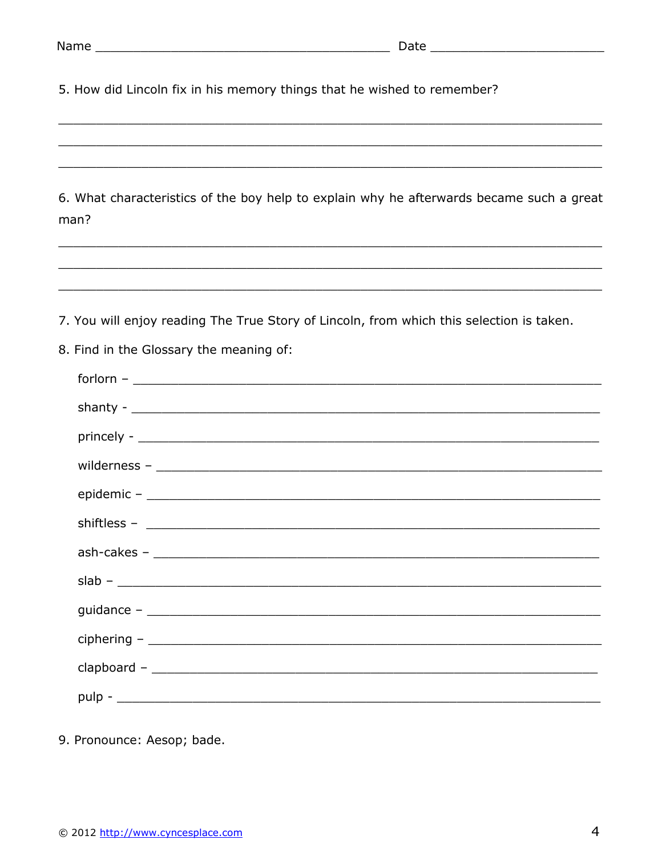5. How did Lincoln fix in his memory things that he wished to remember?

6. What characteristics of the boy help to explain why he afterwards became such a great man?

7. You will enjoy reading The True Story of Lincoln, from which this selection is taken.

8. Find in the Glossary the meaning of:

| $\begin{picture}(150,10) \put(0,0){\dashbox{0.5}(10,0){ }} \put(150,0){\circle{10}} \put(150,0){\circle{10}} \put(150,0){\circle{10}} \put(150,0){\circle{10}} \put(150,0){\circle{10}} \put(150,0){\circle{10}} \put(150,0){\circle{10}} \put(150,0){\circle{10}} \put(150,0){\circle{10}} \put(150,0){\circle{10}} \put(150,0){\circle{10}} \put(150,0){\circle{10}} \put(150,$                                                                                                                                         |
|---------------------------------------------------------------------------------------------------------------------------------------------------------------------------------------------------------------------------------------------------------------------------------------------------------------------------------------------------------------------------------------------------------------------------------------------------------------------------------------------------------------------------|
|                                                                                                                                                                                                                                                                                                                                                                                                                                                                                                                           |
|                                                                                                                                                                                                                                                                                                                                                                                                                                                                                                                           |
|                                                                                                                                                                                                                                                                                                                                                                                                                                                                                                                           |
|                                                                                                                                                                                                                                                                                                                                                                                                                                                                                                                           |
|                                                                                                                                                                                                                                                                                                                                                                                                                                                                                                                           |
|                                                                                                                                                                                                                                                                                                                                                                                                                                                                                                                           |
| $slab -$                                                                                                                                                                                                                                                                                                                                                                                                                                                                                                                  |
|                                                                                                                                                                                                                                                                                                                                                                                                                                                                                                                           |
| $\text{ciphering} \texttt{ -} \texttt{ \textcolor{red}{\textbf{w}} \texttt{ --} \textcolor{red}{\textbf{w}} \texttt{ --} \textcolor{red}{\textbf{w}} \texttt{ --} \textcolor{red}{\textbf{w}} \texttt{ --} \textcolor{red}{\textbf{w}} \texttt{ --} \textcolor{red}{\textbf{w}} \texttt{ --} \textcolor{red}{\textbf{w}} \texttt{ --} \textcolor{red}{\textbf{w}} \texttt{ --} \textcolor{red}{\textbf{w}} \texttt{ --} \textcolor{red}{\textbf{w}} \texttt{ --} \textcolor{red}{\textbf{w}} \texttt{ --} \textcolor{red$ |
|                                                                                                                                                                                                                                                                                                                                                                                                                                                                                                                           |
|                                                                                                                                                                                                                                                                                                                                                                                                                                                                                                                           |
|                                                                                                                                                                                                                                                                                                                                                                                                                                                                                                                           |

9. Pronounce: Aesop; bade.